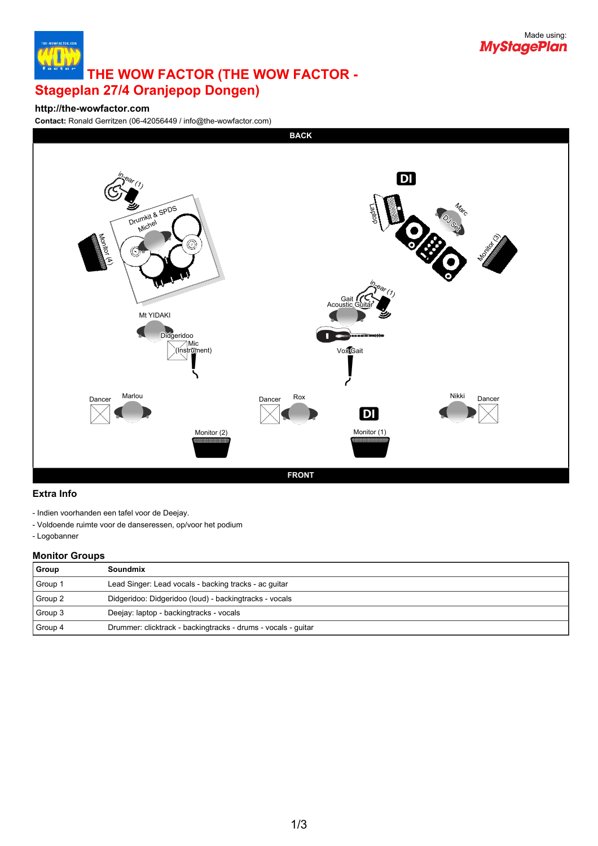

# **THE WOW FACTOR (THE WOW FACTOR - Stageplan 27/4 Oranjepop Dongen)**

#### **http://the-wowfactor.com**

**Contact:** Ronald Gerritzen (06-42056449 / info@the-wowfactor.com)



#### **Extra Info**

- Indien voorhanden een tafel voor de Deejay.
- Voldoende ruimte voor de danseressen, op/voor het podium

- Logobanner

### **Monitor Groups**

| Group   | Soundmix                                                      |
|---------|---------------------------------------------------------------|
| Group 1 | Lead Singer: Lead vocals - backing tracks - ac quitar         |
| Group 2 | Didgeridoo: Didgeridoo (loud) - backingtracks - vocals        |
| Group 3 | Deejay: laptop - backingtracks - vocals                       |
| Group 4 | Drummer: clicktrack - backingtracks - drums - vocals - guitar |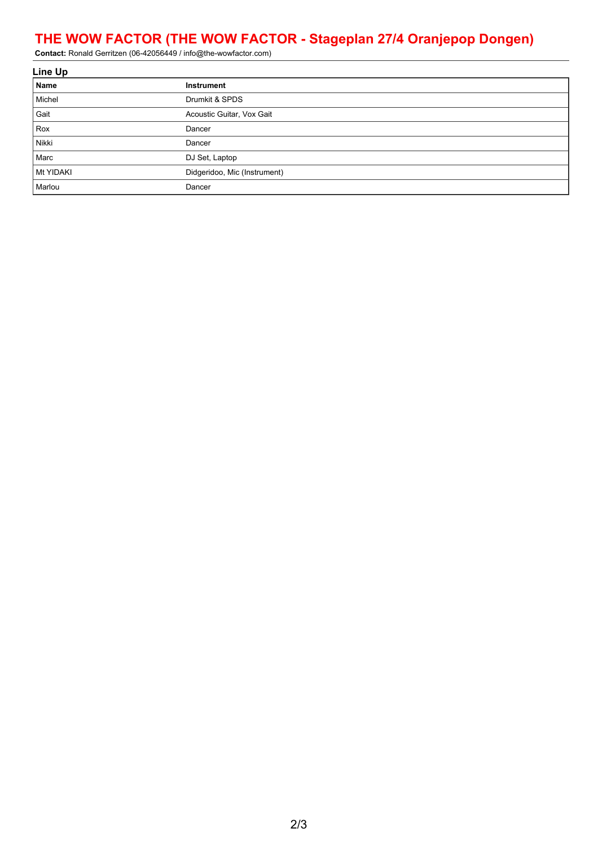## **THE WOW FACTOR (THE WOW FACTOR - Stageplan 27/4 Oranjepop Dongen)**

**Contact:** Ronald Gerritzen (06-42056449 / info@the-wowfactor.com)

| Line Up   |                              |  |  |  |
|-----------|------------------------------|--|--|--|
| Name      | Instrument                   |  |  |  |
| Michel    | Drumkit & SPDS               |  |  |  |
| Gait      | Acoustic Guitar, Vox Gait    |  |  |  |
| Rox       | Dancer                       |  |  |  |
| Nikki     | Dancer                       |  |  |  |
| Marc      | DJ Set, Laptop               |  |  |  |
| Mt YIDAKI | Didgeridoo, Mic (Instrument) |  |  |  |
| Marlou    | Dancer                       |  |  |  |